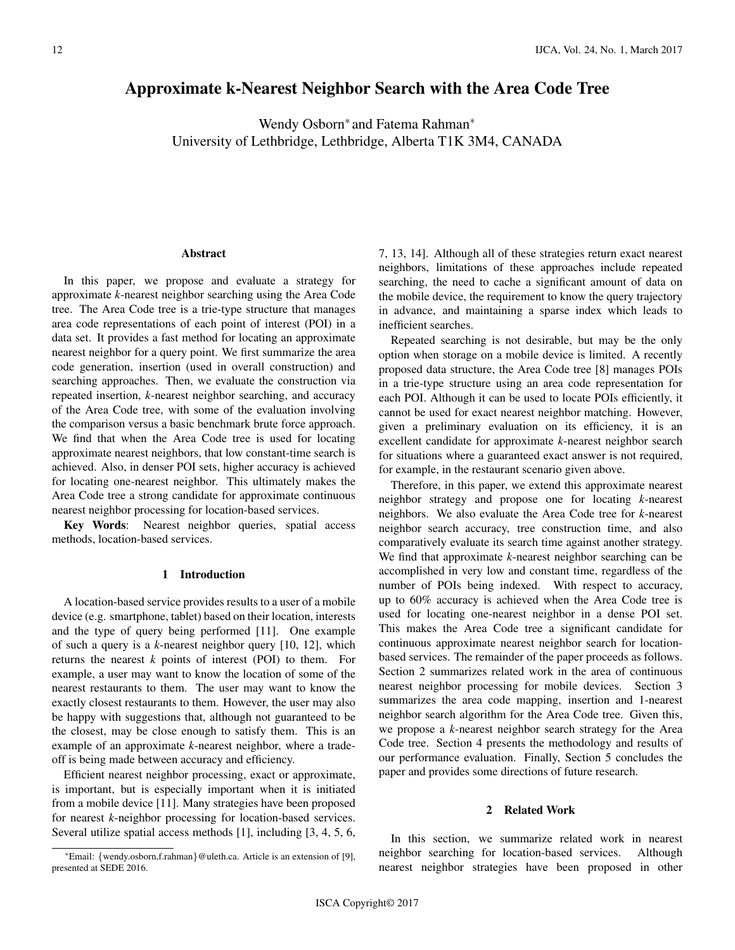# Approximate k-Nearest Neighbor Search with the Area Code Tree

Wendy Osborn<sup>\*</sup> and Fatema Rahman<sup>\*</sup> University of Lethbridge, Lethbridge, Alberta T1K 3M4, CANADA

#### Abstract

In this paper, we propose and evaluate a strategy for approximate *k*-nearest neighbor searching using the Area Code tree. The Area Code tree is a trie-type structure that manages area code representations of each point of interest (POI) in a data set. It provides a fast method for locating an approximate nearest neighbor for a query point. We first summarize the area code generation, insertion (used in overall construction) and searching approaches. Then, we evaluate the construction via repeated insertion, *k*-nearest neighbor searching, and accuracy of the Area Code tree, with some of the evaluation involving the comparison versus a basic benchmark brute force approach. We find that when the Area Code tree is used for locating approximate nearest neighbors, that low constant-time search is achieved. Also, in denser POI sets, higher accuracy is achieved for locating one-nearest neighbor. This ultimately makes the Area Code tree a strong candidate for approximate continuous nearest neighbor processing for location-based services.

Key Words: Nearest neighbor queries, spatial access methods, location-based services.

# 1 Introduction

A location-based service provides results to a user of a mobile device (e.g. smartphone, tablet) based on their location, interests and the type of query being performed [11]. One example of such a query is a *k*-nearest neighbor query [10, 12], which returns the nearest *k* points of interest (POI) to them. For example, a user may want to know the location of some of the nearest restaurants to them. The user may want to know the exactly closest restaurants to them. However, the user may also be happy with suggestions that, although not guaranteed to be the closest, may be close enough to satisfy them. This is an example of an approximate *k*-nearest neighbor, where a tradeoff is being made between accuracy and efficiency.

Efficient nearest neighbor processing, exact or approximate, is important, but is especially important when it is initiated from a mobile device [11]. Many strategies have been proposed for nearest *k*-neighbor processing for location-based services. Several utilize spatial access methods [1], including [3, 4, 5, 6, 7, 13, 14]. Although all of these strategies return exact nearest neighbors, limitations of these approaches include repeated searching, the need to cache a significant amount of data on the mobile device, the requirement to know the query trajectory in advance, and maintaining a sparse index which leads to inefficient searches.

Repeated searching is not desirable, but may be the only option when storage on a mobile device is limited. A recently proposed data structure, the Area Code tree [8] manages POIs in a trie-type structure using an area code representation for each POI. Although it can be used to locate POIs efficiently, it cannot be used for exact nearest neighbor matching. However, given a preliminary evaluation on its efficiency, it is an excellent candidate for approximate *k*-nearest neighbor search for situations where a guaranteed exact answer is not required, for example, in the restaurant scenario given above.

Therefore, in this paper, we extend this approximate nearest neighbor strategy and propose one for locating *k*-nearest neighbors. We also evaluate the Area Code tree for *k*-nearest neighbor search accuracy, tree construction time, and also comparatively evaluate its search time against another strategy. We find that approximate *k*-nearest neighbor searching can be accomplished in very low and constant time, regardless of the number of POIs being indexed. With respect to accuracy, up to 60% accuracy is achieved when the Area Code tree is used for locating one-nearest neighbor in a dense POI set. This makes the Area Code tree a significant candidate for continuous approximate nearest neighbor search for locationbased services. The remainder of the paper proceeds as follows. Section 2 summarizes related work in the area of continuous nearest neighbor processing for mobile devices. Section 3 summarizes the area code mapping, insertion and 1-nearest neighbor search algorithm for the Area Code tree. Given this, we propose a *k*-nearest neighbor search strategy for the Area Code tree. Section 4 presents the methodology and results of our performance evaluation. Finally, Section 5 concludes the paper and provides some directions of future research.

#### 2 Related Work

In this section, we summarize related work in nearest neighbor searching for location-based services. Although nearest neighbor strategies have been proposed in other

<sup>\*</sup>Email: {wendy.osborn,f.rahman}@uleth.ca. Article is an extension of [9], presented at SEDE 2016.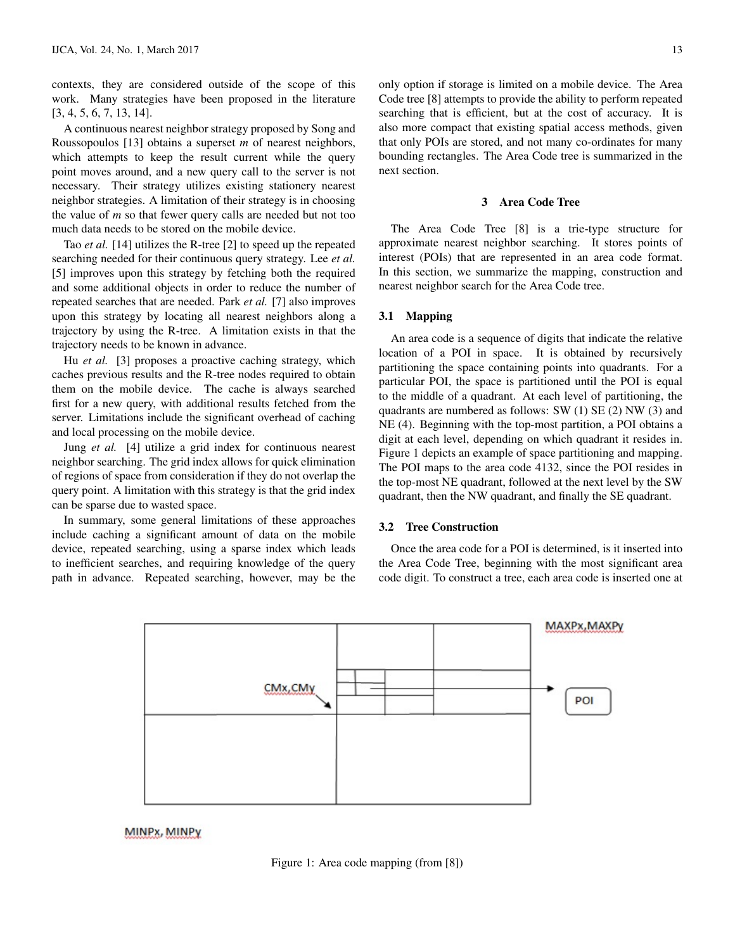contexts, they are considered outside of the scope of this work. Many strategies have been proposed in the literature [3, 4, 5, 6, 7, 13, 14].

A continuous nearest neighbor strategy proposed by Song and Roussopoulos [13] obtains a superset *m* of nearest neighbors, which attempts to keep the result current while the query point moves around, and a new query call to the server is not necessary. Their strategy utilizes existing stationery nearest neighbor strategies. A limitation of their strategy is in choosing the value of *m* so that fewer query calls are needed but not too much data needs to be stored on the mobile device.

Tao *et al.* [14] utilizes the R-tree [2] to speed up the repeated searching needed for their continuous query strategy. Lee *et al.* [5] improves upon this strategy by fetching both the required and some additional objects in order to reduce the number of repeated searches that are needed. Park *et al.* [7] also improves upon this strategy by locating all nearest neighbors along a trajectory by using the R-tree. A limitation exists in that the trajectory needs to be known in advance.

Hu *et al.* [3] proposes a proactive caching strategy, which caches previous results and the R-tree nodes required to obtain them on the mobile device. The cache is always searched first for a new query, with additional results fetched from the server. Limitations include the significant overhead of caching and local processing on the mobile device.

Jung *et al.* [4] utilize a grid index for continuous nearest neighbor searching. The grid index allows for quick elimination of regions of space from consideration if they do not overlap the query point. A limitation with this strategy is that the grid index can be sparse due to wasted space.

In summary, some general limitations of these approaches include caching a significant amount of data on the mobile device, repeated searching, using a sparse index which leads to inefficient searches, and requiring knowledge of the query path in advance. Repeated searching, however, may be the only option if storage is limited on a mobile device. The Area Code tree [8] attempts to provide the ability to perform repeated searching that is efficient, but at the cost of accuracy. It is also more compact that existing spatial access methods, given that only POIs are stored, and not many co-ordinates for many bounding rectangles. The Area Code tree is summarized in the next section.

#### 3 Area Code Tree

The Area Code Tree [8] is a trie-type structure for approximate nearest neighbor searching. It stores points of interest (POIs) that are represented in an area code format. In this section, we summarize the mapping, construction and nearest neighbor search for the Area Code tree.

# 3.1 Mapping

An area code is a sequence of digits that indicate the relative location of a POI in space. It is obtained by recursively partitioning the space containing points into quadrants. For a particular POI, the space is partitioned until the POI is equal to the middle of a quadrant. At each level of partitioning, the quadrants are numbered as follows: SW (1) SE (2) NW (3) and NE (4). Beginning with the top-most partition, a POI obtains a digit at each level, depending on which quadrant it resides in. Figure 1 depicts an example of space partitioning and mapping. The POI maps to the area code 4132, since the POI resides in the top-most NE quadrant, followed at the next level by the SW quadrant, then the NW quadrant, and finally the SE quadrant.

# 3.2 Tree Construction

Once the area code for a POI is determined, is it inserted into the Area Code Tree, beginning with the most significant area code digit. To construct a tree, each area code is inserted one at



MINPx, MINPy

Figure 1: Area code mapping (from [8])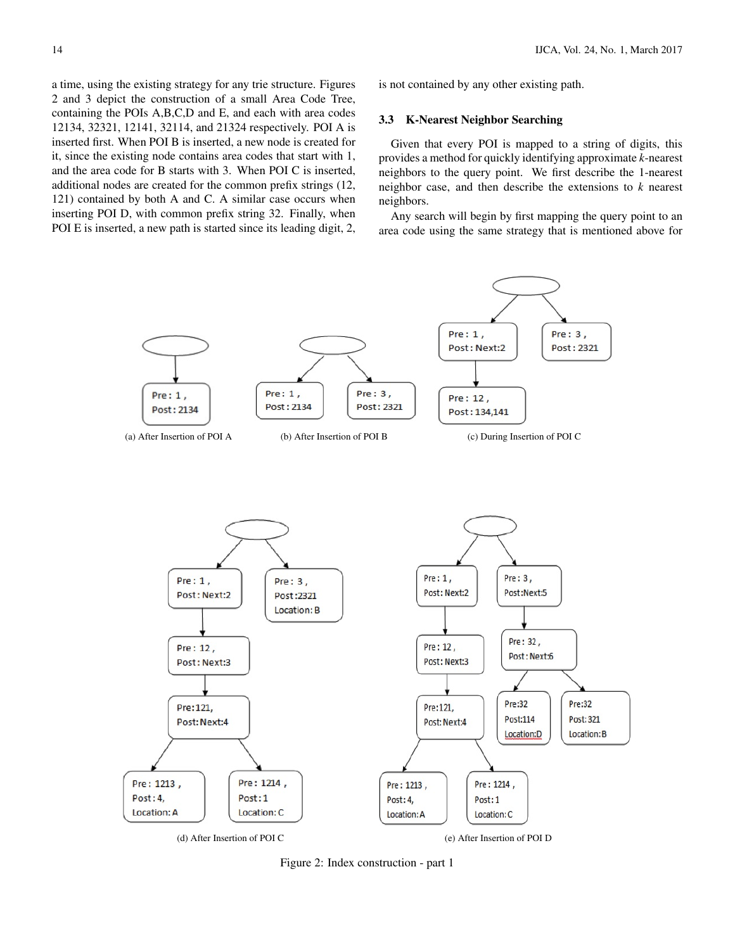a time, using the existing strategy for any trie structure. Figures 2 and 3 depict the construction of a small Area Code Tree, containing the POIs A,B,C,D and E, and each with area codes 12134, 32321, 12141, 32114, and 21324 respectively. POI A is inserted first. When POI B is inserted, a new node is created for it, since the existing node contains area codes that start with 1, and the area code for B starts with 3. When POI C is inserted, additional nodes are created for the common prefix strings (12, 121) contained by both A and C. A similar case occurs when inserting POI D, with common prefix string 32. Finally, when POI E is inserted, a new path is started since its leading digit, 2, is not contained by any other existing path.

#### 3.3 K-Nearest Neighbor Searching

Given that every POI is mapped to a string of digits, this provides a method for quickly identifying approximate *k*-nearest neighbors to the query point. We first describe the 1-nearest neighbor case, and then describe the extensions to *k* nearest neighbors.

Any search will begin by first mapping the query point to an area code using the same strategy that is mentioned above for



Figure 2: Index construction - part 1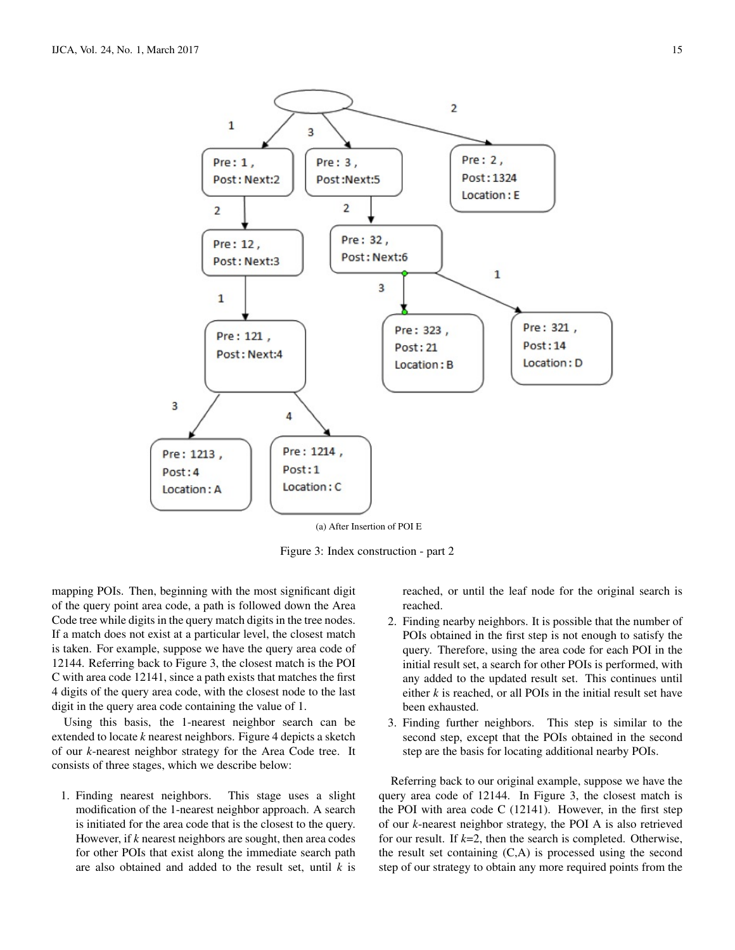

(a) After Insertion of POI E

Figure 3: Index construction - part 2

mapping POIs. Then, beginning with the most significant digit of the query point area code, a path is followed down the Area Code tree while digits in the query match digits in the tree nodes. If a match does not exist at a particular level, the closest match is taken. For example, suppose we have the query area code of 12144. Referring back to Figure 3, the closest match is the POI C with area code 12141, since a path exists that matches the first 4 digits of the query area code, with the closest node to the last digit in the query area code containing the value of 1.

Using this basis, the 1-nearest neighbor search can be extended to locate *k* nearest neighbors. Figure 4 depicts a sketch of our *k*-nearest neighbor strategy for the Area Code tree. It consists of three stages, which we describe below:

1. Finding nearest neighbors. This stage uses a slight modification of the 1-nearest neighbor approach. A search is initiated for the area code that is the closest to the query. However, if *k* nearest neighbors are sought, then area codes for other POIs that exist along the immediate search path are also obtained and added to the result set, until *k* is

reached, or until the leaf node for the original search is reached.

- 2. Finding nearby neighbors. It is possible that the number of POIs obtained in the first step is not enough to satisfy the query. Therefore, using the area code for each POI in the initial result set, a search for other POIs is performed, with any added to the updated result set. This continues until either *k* is reached, or all POIs in the initial result set have been exhausted.
- 3. Finding further neighbors. This step is similar to the second step, except that the POIs obtained in the second step are the basis for locating additional nearby POIs.

Referring back to our original example, suppose we have the query area code of 12144. In Figure 3, the closest match is the POI with area code C (12141). However, in the first step of our *k*-nearest neighbor strategy, the POI A is also retrieved for our result. If *k*=2, then the search is completed. Otherwise, the result set containing (C,A) is processed using the second step of our strategy to obtain any more required points from the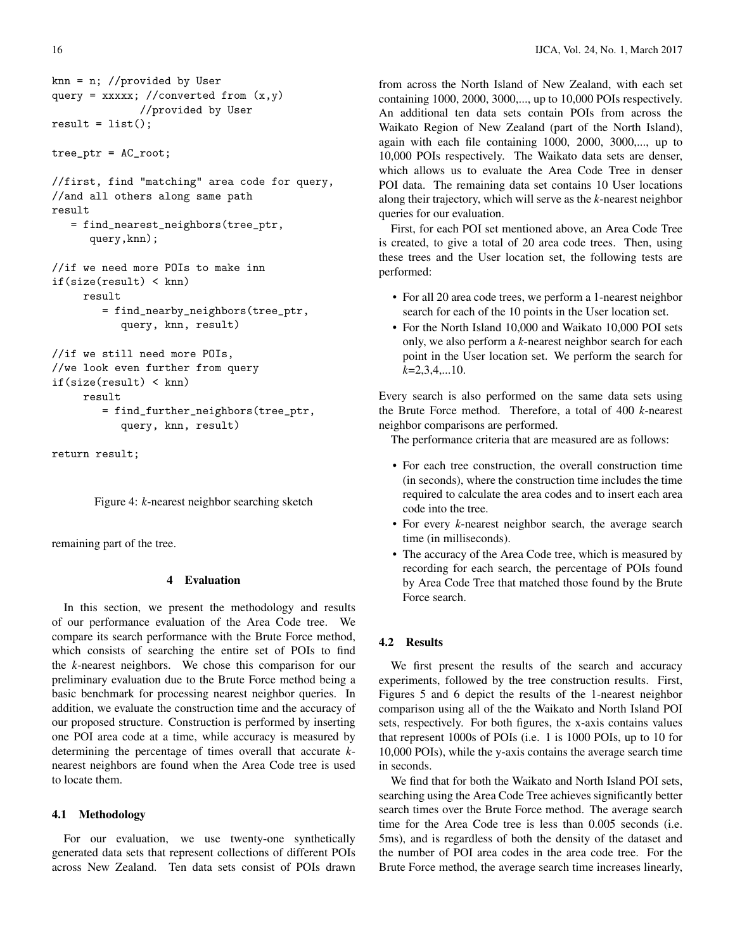```
knn = n; //provided by User
query = xxxxx; //converted from (x,y)//provided by User
result = list();
```
tree\_ptr = AC\_root;

//first, find "matching" area code for query, //and all others along same path result

```
= find_nearest_neighbors(tree_ptr,
  query,knn);
```

```
//if we need more POIs to make inn
if(size(result) < knn)
     result
        = find_nearby_neighbors(tree_ptr,
           query, knn, result)
```

```
//if we still need more POIs,
//we look even further from query
if(size(result) < knn)
     result
        = find_further_neighbors(tree_ptr,
           query, knn, result)
```
return result;

Figure 4: *k*-nearest neighbor searching sketch

remaining part of the tree.

# 4 Evaluation

In this section, we present the methodology and results of our performance evaluation of the Area Code tree. We compare its search performance with the Brute Force method, which consists of searching the entire set of POIs to find the *k*-nearest neighbors. We chose this comparison for our preliminary evaluation due to the Brute Force method being a basic benchmark for processing nearest neighbor queries. In addition, we evaluate the construction time and the accuracy of our proposed structure. Construction is performed by inserting one POI area code at a time, while accuracy is measured by determining the percentage of times overall that accurate *k*nearest neighbors are found when the Area Code tree is used to locate them.

## 4.1 Methodology

For our evaluation, we use twenty-one synthetically generated data sets that represent collections of different POIs across New Zealand. Ten data sets consist of POIs drawn

16 IJCA, Vol. 24, No. 1, March 2017

from across the North Island of New Zealand, with each set containing 1000, 2000, 3000,..., up to 10,000 POIs respectively. An additional ten data sets contain POIs from across the Waikato Region of New Zealand (part of the North Island), again with each file containing 1000, 2000, 3000,..., up to 10,000 POIs respectively. The Waikato data sets are denser, which allows us to evaluate the Area Code Tree in denser POI data. The remaining data set contains 10 User locations along their trajectory, which will serve as the *k*-nearest neighbor queries for our evaluation.

First, for each POI set mentioned above, an Area Code Tree is created, to give a total of 20 area code trees. Then, using these trees and the User location set, the following tests are performed:

- For all 20 area code trees, we perform a 1-nearest neighbor search for each of the 10 points in the User location set.
- For the North Island 10,000 and Waikato 10,000 POI sets only, we also perform a *k*-nearest neighbor search for each point in the User location set. We perform the search for *k*=2,3,4,...10.

Every search is also performed on the same data sets using the Brute Force method. Therefore, a total of 400 *k*-nearest neighbor comparisons are performed.

The performance criteria that are measured are as follows:

- For each tree construction, the overall construction time (in seconds), where the construction time includes the time required to calculate the area codes and to insert each area code into the tree.
- For every *k*-nearest neighbor search, the average search time (in milliseconds).
- The accuracy of the Area Code tree, which is measured by recording for each search, the percentage of POIs found by Area Code Tree that matched those found by the Brute Force search.

# 4.2 Results

We first present the results of the search and accuracy experiments, followed by the tree construction results. First, Figures 5 and 6 depict the results of the 1-nearest neighbor comparison using all of the the Waikato and North Island POI sets, respectively. For both figures, the x-axis contains values that represent 1000s of POIs (i.e. 1 is 1000 POIs, up to 10 for 10,000 POIs), while the y-axis contains the average search time in seconds.

We find that for both the Waikato and North Island POI sets, searching using the Area Code Tree achieves significantly better search times over the Brute Force method. The average search time for the Area Code tree is less than 0.005 seconds (i.e. 5ms), and is regardless of both the density of the dataset and the number of POI area codes in the area code tree. For the Brute Force method, the average search time increases linearly,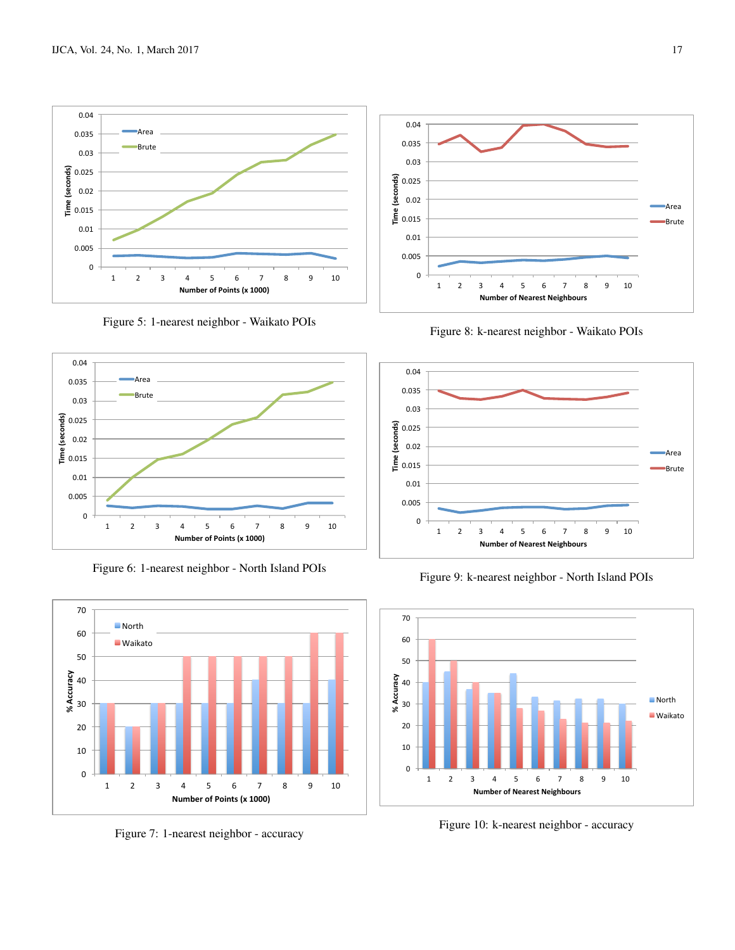

Figure 5: 1-nearest neighbor - Waikato POIs



Figure 6: 1-nearest neighbor - North Island POIs



Figure 7: 1-nearest neighbor - accuracy



Figure 8: k-nearest neighbor - Waikato POIs



Figure 9: k-nearest neighbor - North Island POIs



Figure 10: k-nearest neighbor - accuracy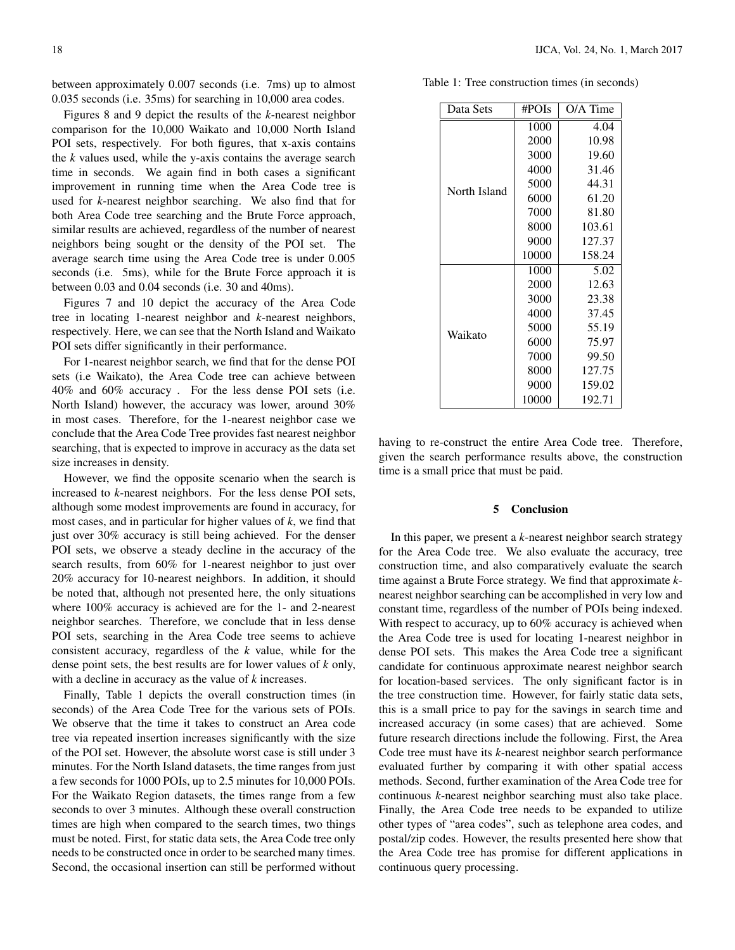between approximately 0.007 seconds (i.e. 7ms) up to almost 0.035 seconds (i.e. 35ms) for searching in 10,000 area codes.

Figures 8 and 9 depict the results of the *k*-nearest neighbor comparison for the 10,000 Waikato and 10,000 North Island POI sets, respectively. For both figures, that x-axis contains the *k* values used, while the y-axis contains the average search time in seconds. We again find in both cases a significant improvement in running time when the Area Code tree is used for *k*-nearest neighbor searching. We also find that for both Area Code tree searching and the Brute Force approach, similar results are achieved, regardless of the number of nearest neighbors being sought or the density of the POI set. The average search time using the Area Code tree is under 0.005 seconds (i.e. 5ms), while for the Brute Force approach it is between 0.03 and 0.04 seconds (i.e. 30 and 40ms).

Figures 7 and 10 depict the accuracy of the Area Code tree in locating 1-nearest neighbor and *k*-nearest neighbors, respectively. Here, we can see that the North Island and Waikato POI sets differ significantly in their performance.

For 1-nearest neighbor search, we find that for the dense POI sets (i.e Waikato), the Area Code tree can achieve between 40% and 60% accuracy . For the less dense POI sets (i.e. North Island) however, the accuracy was lower, around 30% in most cases. Therefore, for the 1-nearest neighbor case we conclude that the Area Code Tree provides fast nearest neighbor searching, that is expected to improve in accuracy as the data set size increases in density.

However, we find the opposite scenario when the search is increased to *k*-nearest neighbors. For the less dense POI sets, although some modest improvements are found in accuracy, for most cases, and in particular for higher values of *k*, we find that just over 30% accuracy is still being achieved. For the denser POI sets, we observe a steady decline in the accuracy of the search results, from 60% for 1-nearest neighbor to just over 20% accuracy for 10-nearest neighbors. In addition, it should be noted that, although not presented here, the only situations where 100% accuracy is achieved are for the 1- and 2-nearest neighbor searches. Therefore, we conclude that in less dense POI sets, searching in the Area Code tree seems to achieve consistent accuracy, regardless of the *k* value, while for the dense point sets, the best results are for lower values of *k* only, with a decline in accuracy as the value of *k* increases.

Finally, Table 1 depicts the overall construction times (in seconds) of the Area Code Tree for the various sets of POIs. We observe that the time it takes to construct an Area code tree via repeated insertion increases significantly with the size of the POI set. However, the absolute worst case is still under 3 minutes. For the North Island datasets, the time ranges from just a few seconds for 1000 POIs, up to 2.5 minutes for 10,000 POIs. For the Waikato Region datasets, the times range from a few seconds to over 3 minutes. Although these overall construction times are high when compared to the search times, two things must be noted. First, for static data sets, the Area Code tree only needs to be constructed once in order to be searched many times. Second, the occasional insertion can still be performed without

Table 1: Tree construction times (in seconds)

| Data Sets    | #POIs | $O/A$ Time |
|--------------|-------|------------|
| North Island | 1000  | 4.04       |
|              | 2000  | 10.98      |
|              | 3000  | 19.60      |
|              | 4000  | 31.46      |
|              | 5000  | 44.31      |
|              | 6000  | 61.20      |
|              | 7000  | 81.80      |
|              | 8000  | 103.61     |
|              | 9000  | 127.37     |
|              | 10000 | 158.24     |
| Waikato      | 1000  | 5.02       |
|              | 2000  | 12.63      |
|              | 3000  | 23.38      |
|              | 4000  | 37.45      |
|              | 5000  | 55.19      |
|              | 6000  | 75.97      |
|              | 7000  | 99.50      |
|              | 8000  | 127.75     |
|              | 9000  | 159.02     |
|              | 10000 | 192.71     |

having to re-construct the entire Area Code tree. Therefore, given the search performance results above, the construction time is a small price that must be paid.

### 5 Conclusion

In this paper, we present a *k*-nearest neighbor search strategy for the Area Code tree. We also evaluate the accuracy, tree construction time, and also comparatively evaluate the search time against a Brute Force strategy. We find that approximate *k*nearest neighbor searching can be accomplished in very low and constant time, regardless of the number of POIs being indexed. With respect to accuracy, up to 60% accuracy is achieved when the Area Code tree is used for locating 1-nearest neighbor in dense POI sets. This makes the Area Code tree a significant candidate for continuous approximate nearest neighbor search for location-based services. The only significant factor is in the tree construction time. However, for fairly static data sets, this is a small price to pay for the savings in search time and increased accuracy (in some cases) that are achieved. Some future research directions include the following. First, the Area Code tree must have its *k*-nearest neighbor search performance evaluated further by comparing it with other spatial access methods. Second, further examination of the Area Code tree for continuous *k*-nearest neighbor searching must also take place. Finally, the Area Code tree needs to be expanded to utilize other types of "area codes", such as telephone area codes, and postal/zip codes. However, the results presented here show that the Area Code tree has promise for different applications in continuous query processing.